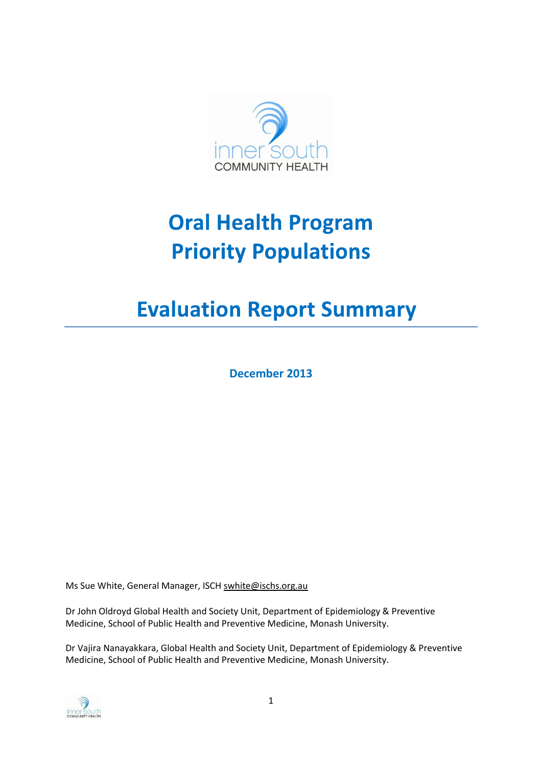

# **Oral Health Program Priority Populations**

# **Evaluation Report Summary**

**December 2013**

Ms Sue White, General Manager, ISCH [swhite@ischs.org.au](mailto:swhite@ischs.org.au)

Dr John Oldroyd Global Health and Society Unit, Department of Epidemiology & Preventive Medicine, School of Public Health and Preventive Medicine, Monash University.

Dr Vajira Nanayakkara, Global Health and Society Unit, Department of Epidemiology & Preventive Medicine, School of Public Health and Preventive Medicine, Monash University.

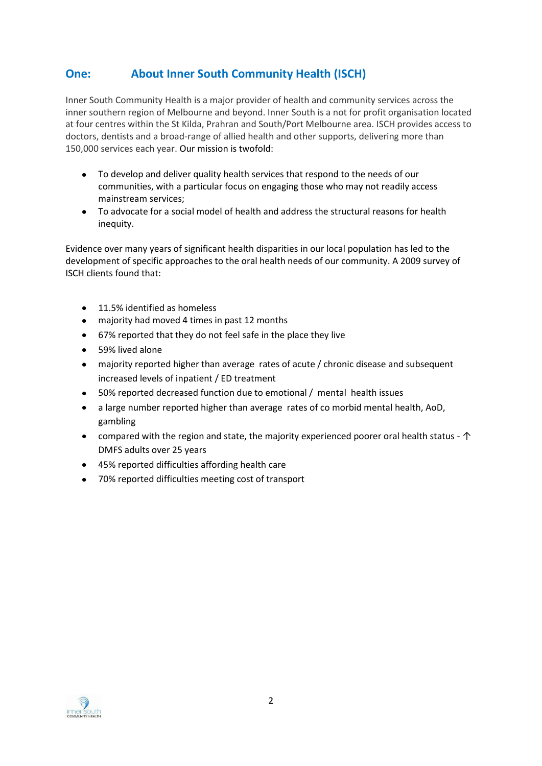# **One: About Inner South Community Health (ISCH)**

Inner South Community Health is a major provider of health and community services across the inner southern region of Melbourne and beyond. Inner South is a not for profit organisation located at four centres within the St Kilda, Prahran and South/Port Melbourne area. ISCH provides access to doctors, dentists and a broad-range of allied health and other supports, delivering more than 150,000 services each year. Our mission is twofold:

- To develop and deliver quality health services that respond to the needs of our communities, with a particular focus on engaging those who may not readily access mainstream services;
- To advocate for a social model of health and address the structural reasons for health inequity.

Evidence over many years of significant health disparities in our local population has led to the development of specific approaches to the oral health needs of our community. A 2009 survey of ISCH clients found that:

- 11.5% identified as homeless
- majority had moved 4 times in past 12 months
- 67% reported that they do not feel safe in the place they live
- 59% lived alone  $\bullet$
- majority reported higher than average rates of acute / chronic disease and subsequent  $\bullet$ increased levels of inpatient / ED treatment
- 50% reported decreased function due to emotional / mental health issues  $\bullet$
- a large number reported higher than average rates of co morbid mental health, AoD, gambling
- compared with the region and state, the majority experienced poorer oral health status  $\uparrow$ DMFS adults over 25 years
- 45% reported difficulties affording health care
- 70% reported difficulties meeting cost of transport

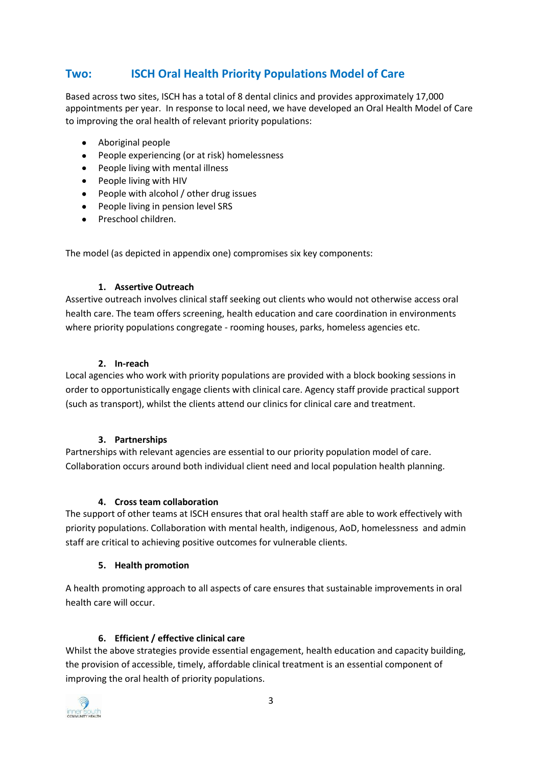# **Two: ISCH Oral Health Priority Populations Model of Care**

Based across two sites, ISCH has a total of 8 dental clinics and provides approximately 17,000 appointments per year. In response to local need, we have developed an Oral Health Model of Care to improving the oral health of relevant priority populations:

- Aboriginal people
- $\bullet$ People experiencing (or at risk) homelessness
- People living with mental illness
- People living with HIV
- People with alcohol / other drug issues
- People living in pension level SRS
- Preschool children.

The model (as depicted in appendix one) compromises six key components:

## **1. Assertive Outreach**

Assertive outreach involves clinical staff seeking out clients who would not otherwise access oral health care. The team offers screening, health education and care coordination in environments where priority populations congregate - rooming houses, parks, homeless agencies etc.

## **2. In-reach**

Local agencies who work with priority populations are provided with a block booking sessions in order to opportunistically engage clients with clinical care. Agency staff provide practical support (such as transport), whilst the clients attend our clinics for clinical care and treatment.

## **3. Partnerships**

Partnerships with relevant agencies are essential to our priority population model of care. Collaboration occurs around both individual client need and local population health planning.

## **4. Cross team collaboration**

The support of other teams at ISCH ensures that oral health staff are able to work effectively with priority populations. Collaboration with mental health, indigenous, AoD, homelessness and admin staff are critical to achieving positive outcomes for vulnerable clients.

## **5. Health promotion**

A health promoting approach to all aspects of care ensures that sustainable improvements in oral health care will occur.

## **6. Efficient / effective clinical care**

Whilst the above strategies provide essential engagement, health education and capacity building, the provision of accessible, timely, affordable clinical treatment is an essential component of improving the oral health of priority populations.

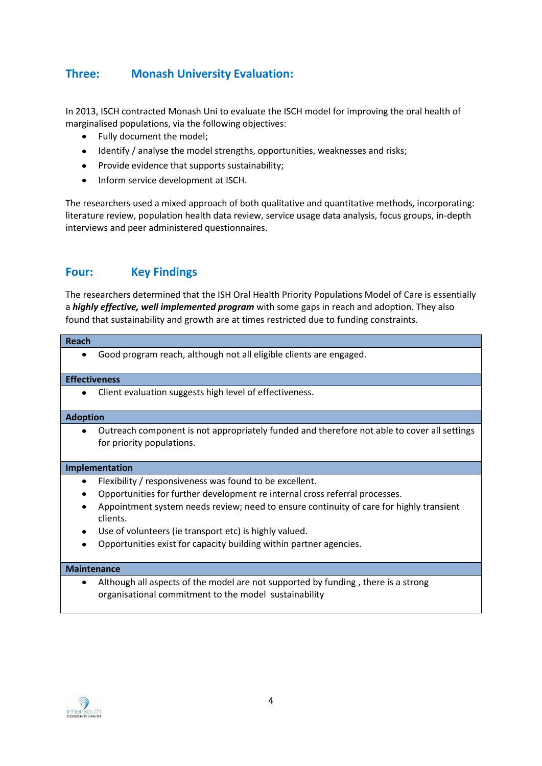# **Three: Monash University Evaluation:**

In 2013, ISCH contracted Monash Uni to evaluate the ISCH model for improving the oral health of marginalised populations, via the following objectives:

- $\bullet$ Fully document the model;
- Identify / analyse the model strengths, opportunities, weaknesses and risks;
- Provide evidence that supports sustainability:
- Inform service development at ISCH.  $\bullet$

The researchers used a mixed approach of both qualitative and quantitative methods, incorporating: literature review, population health data review, service usage data analysis, focus groups, in-depth interviews and peer administered questionnaires.

# **Four: Key Findings**

The researchers determined that the ISH Oral Health Priority Populations Model of Care is essentially a *highly effective, well implemented program* with some gaps in reach and adoption. They also found that sustainability and growth are at times restricted due to funding constraints.

#### **Reach**

Good program reach, although not all eligible clients are engaged.  $\bullet$ 

#### **Effectiveness**

Client evaluation suggests high level of effectiveness.

#### **Adoption**

 $\bullet$ Outreach component is not appropriately funded and therefore not able to cover all settings for priority populations.

#### **Implementation**

- Flexibility / responsiveness was found to be excellent.  $\bullet$  .
- Opportunities for further development re internal cross referral processes.
- Appointment system needs review; need to ensure continuity of care for highly transient clients.
- Use of volunteers (ie transport etc) is highly valued.
- Opportunities exist for capacity building within partner agencies.

#### **Maintenance**

Although all aspects of the model are not supported by funding , there is a strong organisational commitment to the model sustainability

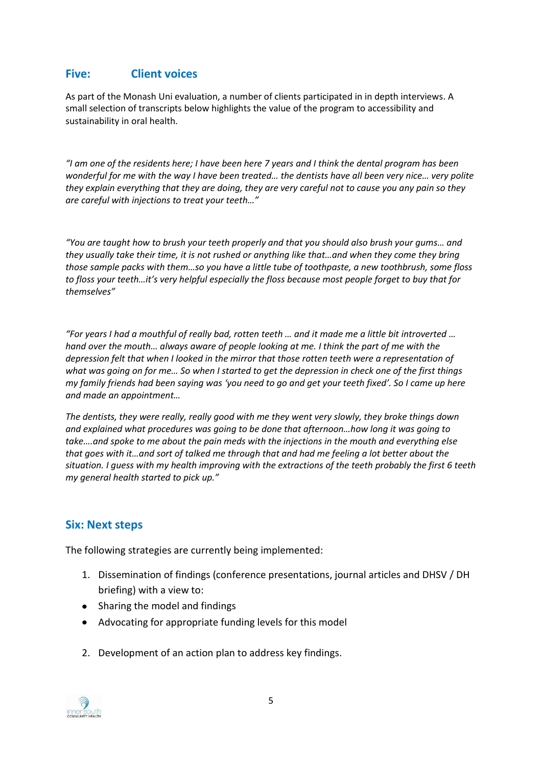# **Five: Client voices**

As part of the Monash Uni evaluation, a number of clients participated in in depth interviews. A small selection of transcripts below highlights the value of the program to accessibility and sustainability in oral health.

*"I am one of the residents here; I have been here 7 years and I think the dental program has been wonderful for me with the way I have been treated… the dentists have all been very nice… very polite they explain everything that they are doing, they are very careful not to cause you any pain so they are careful with injections to treat your teeth…"*

*"You are taught how to brush your teeth properly and that you should also brush your gums… and they usually take their time, it is not rushed or anything like that…and when they come they bring those sample packs with them…so you have a little tube of toothpaste, a new toothbrush, some floss to floss your teeth…it's very helpful especially the floss because most people forget to buy that for themselves"*

*"For years I had a mouthful of really bad, rotten teeth … and it made me a little bit introverted … hand over the mouth… always aware of people looking at me. I think the part of me with the depression felt that when I looked in the mirror that those rotten teeth were a representation of what was going on for me… So when I started to get the depression in check one of the first things my family friends had been saying was 'you need to go and get your teeth fixed'. So I came up here and made an appointment…*

*The dentists, they were really, really good with me they went very slowly, they broke things down and explained what procedures was going to be done that afternoon…how long it was going to take….and spoke to me about the pain meds with the injections in the mouth and everything else that goes with it…and sort of talked me through that and had me feeling a lot better about the situation. I guess with my health improving with the extractions of the teeth probably the first 6 teeth my general health started to pick up."*

## **Six: Next steps**

The following strategies are currently being implemented:

- 1. Dissemination of findings (conference presentations, journal articles and DHSV / DH briefing) with a view to:
- Sharing the model and findings
- Advocating for appropriate funding levels for this model
- 2. Development of an action plan to address key findings.